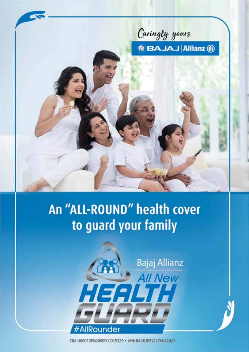Caringly yours **B BAJAJ Allianz @** 

# An "ALL-ROUND" health cover to guard your family



CIN: U66010PN2000PLC015329 . UIN: BAJHLIP21227V042021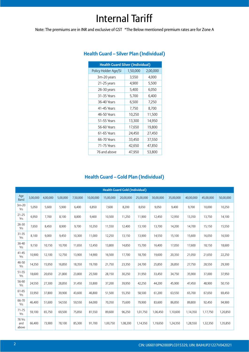## Internal Tariff

Note: The premiums are in INR and exclusive of GST \*The Below mentioned premium rates are for Zone A

| <b>Health Guard Silver (Individual)</b> |          |          |  |  |  |
|-----------------------------------------|----------|----------|--|--|--|
| Policy Holder Age/SI                    | 1,50,000 | 2,00,000 |  |  |  |
| 3m-20 years                             | 3,550    | 4,000    |  |  |  |
| 21-25 years                             | 4,900    | 5,500    |  |  |  |
| 26-30 years                             | 5,400    | 6,050    |  |  |  |
| 31-35 Years                             | 5,700    | 6,400    |  |  |  |
| 36-40 Years                             | 6,500    | 7,250    |  |  |  |
| 41-45 Years                             | 7,750    | 8,700    |  |  |  |
| 46-50 Years                             | 10,250   | 11,500   |  |  |  |
| 51-55 Years                             | 13,300   | 14,950   |  |  |  |
| 56-60 Years                             | 17,650   | 19,800   |  |  |  |
| 61-65 Years                             | 24,450   | 27,450   |  |  |  |
| 66-70 Years                             | 33,450   | 37,550   |  |  |  |
| 71-75 Years                             | 42,650   | 47,850   |  |  |  |
| 76 and above                            | 47,950   | 53,800   |  |  |  |

#### **Health Guard – Silver Plan (Individual)**

#### **Health Guard – Gold Plan (Individual)**

|                        | <b>Health Guard Gold (Individual)</b> |          |          |          |           |           |           |           |           |           |           |           |           |
|------------------------|---------------------------------------|----------|----------|----------|-----------|-----------|-----------|-----------|-----------|-----------|-----------|-----------|-----------|
| Age<br>Band            | 3,00,000                              | 4,00,000 | 5,00,000 | 7,50,000 | 10,00,000 | 15,00,000 | 20,00,000 | 25,00,000 | 30,00,000 | 35,00,000 | 40,00,000 | 45,00,000 | 50,00,000 |
| $3m-20$<br>Yrs         | 5,050                                 | 5,600    | 5,900    | 6,400    | 6,850     | 7,600     | 8,200     | 8,650     | 9,050     | 9,400     | 9,700     | 10.000    | 10,250    |
| $21 - 25$<br>Yrs       | 6,950                                 | 7,700    | 8,100    | 8,800    | 9,400     | 10,500    | 11,250    | 11,900    | 12,450    | 12,950    | 13,350    | 13,750    | 14,100    |
| 26-30<br>Yrs           | 7,650                                 | 8,450    | 8,900    | 9,700    | 10,350    | 11,550    | 12,400    | 13,100    | 13,700    | 14,200    | 14,700    | 15,150    | 15,550    |
| 31-35<br>Yrs           | 8,100                                 | 9,000    | 9,450    | 10,300   | 11,000    | 12,250    | 13,150    | 13,900    | 14,550    | 15,100    | 15,600    | 16,050    | 16,500    |
| 36-40<br>Yrs           | 9,150                                 | 10,150   | 10,700   | 11,650   | 12,450    | 13,800    | 14,850    | 15,700    | 16,400    | 17,050    | 17,600    | 18,150    | 18,600    |
| $41 - 45$<br>Yrs       | 10,900                                | 12,100   | 12,750   | 13,900   | 14,900    | 16,500    | 17,700    | 18,700    | 19,600    | 20,350    | 21,050    | 21,650    | 22,250    |
| 46-50<br>Yrs           | 14,350                                | 15,950   | 16,850   | 18,350   | 19,700    | 21,750    | 23,350    | 24,700    | 25,850    | 26,850    | 27,750    | 28,550    | 29,300    |
| 51-55<br>Yrs           | 18,600                                | 20,650   | 21,800   | 23,800   | 25,500    | 28,150    | 30,250    | 31,950    | 33,450    | 34,750    | 35,900    | 37,000    | 37,950    |
| 56-60<br>Yrs           | 24,550                                | 27,300   | 28,850   | 31,450   | 33,800    | 37,200    | 39,950    | 42,250    | 44,200    | 45,900    | 47,450    | 48,900    | 50,150    |
| 61-65<br>Yrs           | 33,950                                | 37,800   | 39,900   | 43,600   | 46,800    | 51,500    | 55,350    | 58,500    | 61,200    | 63,550    | 65,700    | 67,650    | 69,450    |
| 66-70<br>Yrs           | 46,400                                | 51,600   | 54,550   | 59,550   | 64,000    | 70,350    | 75,600    | 79,900    | 83,600    | 86,850    | 89,800    | 92,450    | 94,900    |
| $71 - 75$<br>Yrs       | 59,100                                | 65,750   | 69,500   | 75,850   | 81,550    | 89,600    | 96,250    | 1,01,750  | 1,06,450  | 1,10,600  | 1,14,350  | 1,17,750  | 1,20,850  |
| 76 Yrs<br>and<br>above | 66,400                                | 73,900   | 78,100   | 85,300   | 91,700    | 1,00,750  | 1,08,200  | 1,14,350  | 1,19,650  | 1,24,350  | 1,28,550  | 1,32,350  | 1,35,850  |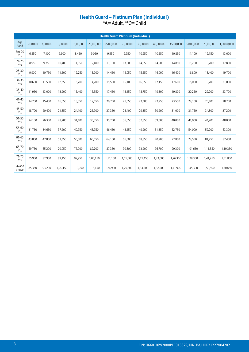#### Health Guard - Platinum Plan (Individual) \*A= Adult, \*\*C= Child

|                    | <b>Health Guard Platinum (Individual)</b> |          |           |           |           |           |           |           |           |           |           |           |             |
|--------------------|-------------------------------------------|----------|-----------|-----------|-----------|-----------|-----------|-----------|-----------|-----------|-----------|-----------|-------------|
| Age<br><b>Band</b> | 5,00,000                                  | 7,50,000 | 10,00,000 | 15,00,000 | 20,00,000 | 25,00,000 | 30,00,000 | 35,00,000 | 40,00,000 | 45,00,000 | 50,00,000 | 75,00,000 | 1,00,00,000 |
| $3m-20$<br>Yrs     | 6,550                                     | 7,100    | 7,600     | 8,450     | 9,050     | 9,550     | 9,950     | 10,250    | 10,550    | 10,850    | 11,100    | 12,150    | 13,000      |
| $21 - 25$<br>Yrs   | 8,950                                     | 9,750    | 10,400    | 11,550    | 12,400    | 13,100    | 13,600    | 14,050    | 14,500    | 14,850    | 15,200    | 16,700    | 17,850      |
| 26-30<br>Yrs       | 9,900                                     | 10,750   | 11,500    | 12,750    | 13,700    | 14,450    | 15,050    | 15,550    | 16,000    | 16,400    | 16,800    | 18,400    | 19,700      |
| 31-35<br>Yrs       | 10,600                                    | 11,550   | 12,350    | 13,700    | 14,700    | 15,500    | 16,100    | 16,650    | 17,150    | 17,600    | 18,000    | 19,700    | 21,050      |
| 36-40<br>Yrs       | 11,950                                    | 13,000   | 13,900    | 15,400    | 16,550    | 17,450    | 18,150    | 18,750    | 19,300    | 19,800    | 20,250    | 22,200    | 23,700      |
| $41 - 45$<br>Yrs   | 14,200                                    | 15,450   | 16,550    | 18,350    | 19,650    | 20,750    | 21,550    | 22,300    | 22,950    | 23,550    | 24,100    | 26,400    | 28,200      |
| 46-50<br>Yrs       | 18,700                                    | 20,400   | 21,850    | 24,100    | 25,900    | 27,350    | 28,400    | 29,350    | 30,200    | 31,000    | 31,750    | 34,800    | 37,200      |
| $51 - 55$<br>Yrs   | 24,100                                    | 26,300   | 28,200    | 31,100    | 33,350    | 35,250    | 36,650    | 37,850    | 39,000    | 40,000    | 41,000    | 44,900    | 48,000      |
| 56-60<br>Yrs       | 31,750                                    | 34,650   | 37,200    | 40,950    | 43,950    | 46,450    | 48,250    | 49,900    | 51,350    | 52,750    | 54,000    | 59,200    | 63,300      |
| 61-65<br>Yrs       | 43,800                                    | 47,800   | 51,350    | 56,500    | 60,650    | 64,100    | 66,600    | 68,850    | 70,900    | 72,800    | 74,550    | 81,750    | 87,450      |
| 66-70<br>Yrs       | 59,750                                    | 65,200   | 70,050    | 77,000    | 82,700    | 87,350    | 90,800    | 93,900    | 96,700    | 99,300    | 1,01,650  | 1,11,550  | 1,19,350    |
| $71 - 75$<br>Yrs   | 75,950                                    | 82,950   | 89,150    | 97,950    | 1,05,150  | 1,11,150  | 1,15,500  | 1,19,450  | 1,23,000  | 1,26,300  | 1,29,350  | 1,41,950  | 1,51,850    |
| 76 and<br>above    | 85,350                                    | 93,200   | 1,00,150  | 1,10,050  | 1,18,150  | 1,24,900  | 1,29,800  | 1,34,200  | 1,38,200  | 1,41,900  | 1,45,300  | 1,59,500  | 1,70,650    |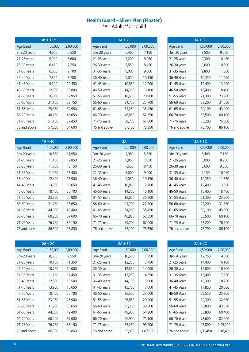#### **Health Guard – Silver Plan (Floater)** \*A= Adult, \*\*C= Child

| $1A^* + 1C^{**}$ |          |          |  |  |  |  |
|------------------|----------|----------|--|--|--|--|
| Age Band         | 1,50,000 | 2,00,000 |  |  |  |  |
| 3m-20 years      | 4,950    | 5,550    |  |  |  |  |
| 21-25 years      | 5,900    | 6,600    |  |  |  |  |
| 26-30 years      | 6,450    | 7,250    |  |  |  |  |
| 31-35 Years      | 6,850    | 7,700    |  |  |  |  |
| 36-40 Years      | 7,800    | 8,700    |  |  |  |  |
| 41-45 Years      | 9,300    | 10,450   |  |  |  |  |
| 46-50 Years      | 12,300   | 13,800   |  |  |  |  |
| 51-55 Years      | 16,000   | 17,950   |  |  |  |  |
| 56-60 Years      | 21,150   | 23,750   |  |  |  |  |
| 61-65 Years      | 29,350   | 32,950   |  |  |  |  |
| 66-70 Years      | 40,150   | 45,050   |  |  |  |  |
| 71-75 Years      | 51,150   | 57,450   |  |  |  |  |
| 76 and above     | 57,550   | 64,600   |  |  |  |  |

| $1A + 4C$    |          |          |  |  |  |  |
|--------------|----------|----------|--|--|--|--|
| Age Band     | 1,50,000 | 2,00,000 |  |  |  |  |
| 3m-20 years  | 10,650   | 11,950   |  |  |  |  |
| 21-25 years  | 11,450   | 12,850   |  |  |  |  |
| 26-30 years  | 11,750   | 13,150   |  |  |  |  |
| 31-35 Years  | 11,950   | 13,400   |  |  |  |  |
| 36-40 Years  | 12,400   | 13,900   |  |  |  |  |
| 41-45 Years  | 13,950   | 15,650   |  |  |  |  |
| 46-50 Years  | 18,450   | 20,700   |  |  |  |  |
| 51-55 Years  | 23,950   | 26,900   |  |  |  |  |
| 56-60 Years  | 31,750   | 35,650   |  |  |  |  |
| 61-65 Years  | 44,000   | 49,400   |  |  |  |  |
| 66-70 Years  | 60,200   | 67,600   |  |  |  |  |
| 71-75 Years  | 76,750   | 86,150   |  |  |  |  |
| 76 and above | 86,300   | 96,850   |  |  |  |  |

| $2A + 2C$    |          |          |  |  |  |  |
|--------------|----------|----------|--|--|--|--|
| Age Band     | 1,50,000 | 2,00,000 |  |  |  |  |
| 3m-20 years  | 8,500    | 9,550    |  |  |  |  |
| 21-25 years  | 10,100   | 11,350   |  |  |  |  |
| 26-30 years  | 10,750   | 12,000   |  |  |  |  |
| 31-35 Years  | 11,150   | 12,450   |  |  |  |  |
| 36-40 Years  | 12,050   | 13,500   |  |  |  |  |
| 41-45 Years  | 13,950   | 15,650   |  |  |  |  |
| 46-50 Years  | 18,450   | 20,700   |  |  |  |  |
| 51-55 Years  | 23,950   | 26,900   |  |  |  |  |
| 56-60 Years  | 31,750   | 35,650   |  |  |  |  |
| 61-65 Years  | 44,000   | 49,400   |  |  |  |  |
| 66-70 Years  | 60,200   | 67,600   |  |  |  |  |
| 71-75 Years  | 76,750   | 86,150   |  |  |  |  |
| 76 and above | 86,300   | 96,850   |  |  |  |  |

| $1A + 2C$    |          |          |  |  |  |
|--------------|----------|----------|--|--|--|
| Age Band     | 1,50,000 | 2,00,000 |  |  |  |
| 3m-20 years  | 6,400    | 7,150    |  |  |  |
| 21-25 years  | 7,200    | 8,050    |  |  |  |
| 26-30 years  | 7,550    | 8,450    |  |  |  |
| 31-35 Years  | 8,000    | 9,000    |  |  |  |
| 36-40 Years  | 9,050    | 10,150   |  |  |  |
| 41-45 Years  | 10,850   | 12,200   |  |  |  |
| 46-50 Years  | 14,350   | 16,100   |  |  |  |
| 51-55 Years  | 18,650   | 20,900   |  |  |  |
| 56-60 Years  | 24,700   | 27,700   |  |  |  |
| 61-65 Years  | 34,250   | 38,450   |  |  |  |
| 66-70 Years  | 46,850   | 52,550   |  |  |  |
| 71-75 Years  | 59,700   | 67,000   |  |  |  |
| 76 and above | 67,100   | 75,350   |  |  |  |
|              |          |          |  |  |  |
|              |          |          |  |  |  |

|               | 2Α       |          |  |  |  |  |  |
|---------------|----------|----------|--|--|--|--|--|
| Age Band      | 1,50,000 | 2,00,000 |  |  |  |  |  |
| 3m-20 years   | 4,950    | 5,550    |  |  |  |  |  |
| $21-25$ years | 6,850    | 7,650    |  |  |  |  |  |
| 26-30 years   | 7,550    | 8,450    |  |  |  |  |  |
| 31-35 Years   | 8,000    | 9,000    |  |  |  |  |  |
| 36-40 Years   | 9,050    | 10,150   |  |  |  |  |  |
| 41-45 Years   | 10,850   | 12,200   |  |  |  |  |  |
| 46-50 Years   | 14,350   | 16,100   |  |  |  |  |  |
| 51-55 Years   | 18,650   | 20,900   |  |  |  |  |  |
| 56-60 Years   | 24,700   | 27,700   |  |  |  |  |  |
| 61-65 Years   | 34,250   | 38,450   |  |  |  |  |  |
| 66-70 Years   | 46,850   | 52,550   |  |  |  |  |  |
| 71-75 Years   | 59,700   | 67,000   |  |  |  |  |  |
| 76 and above  | 67,100   | 75,350   |  |  |  |  |  |

| $2A + 3C$ |          |  |  |  |  |  |
|-----------|----------|--|--|--|--|--|
| 1,50,000  | 2,00,000 |  |  |  |  |  |
| 10,650    | 11,950   |  |  |  |  |  |
| 12,250    | 13,750   |  |  |  |  |  |
| 12,850    | 14,400   |  |  |  |  |  |
| 13,250    | 14,850   |  |  |  |  |  |
| 14,150    | 15,900   |  |  |  |  |  |
| 15,700    | 17,600   |  |  |  |  |  |
| 20,500    | 23,000   |  |  |  |  |  |
| 26,650    | 29,900   |  |  |  |  |  |
| 35,300    | 39,600   |  |  |  |  |  |
| 48,900    | 54,900   |  |  |  |  |  |
| 66,900    | 75,100   |  |  |  |  |  |
| 85,250    | 95,700   |  |  |  |  |  |
| 95,900    | 1,07,650 |  |  |  |  |  |
|           |          |  |  |  |  |  |

| $1A + 3C$    |          |          |  |  |  |  |
|--------------|----------|----------|--|--|--|--|
| Age Band     | 1,50,000 | 2,00,000 |  |  |  |  |
| 3m-20 years  | 8,500    | 9,550    |  |  |  |  |
| 21-25 years  | 9,300    | 10,450   |  |  |  |  |
| 26-30 years  | 9,600    | 10,800   |  |  |  |  |
| 31-35 Years  | 9,800    | 11,000   |  |  |  |  |
| 36-40 Years  | 10,350   | 11,650   |  |  |  |  |
| 41-45 Years  | 12,400   | 13,900   |  |  |  |  |
| 46-50 Years  | 16,400   | 18,400   |  |  |  |  |
| 51-55 Years  | 21,300   | 23,900   |  |  |  |  |
| 56-60 Years  | 28,200   | 31,650   |  |  |  |  |
| 61-65 Years  | 39,100   | 43,900   |  |  |  |  |
| 66-70 Years  | 53,500   | 60,100   |  |  |  |  |
| 71-75 Years  | 68,200   | 76,600   |  |  |  |  |
| 76 and above | 76,700   | 86,100   |  |  |  |  |

| $2A + 1C$    |          |          |  |  |  |  |
|--------------|----------|----------|--|--|--|--|
| Age Band     | 1,50,000 | 2,00,000 |  |  |  |  |
| 3m-20 years  | 6,400    | 7,150    |  |  |  |  |
| 21-25 years  | 8,000    | 8,950    |  |  |  |  |
| 26-30 years  | 8,600    | 9,650    |  |  |  |  |
| 31-35 Years  | 9,150    | 10,250   |  |  |  |  |
| 36-40 Years  | 10,350   | 11,650   |  |  |  |  |
| 41-45 Years  | 12,400   | 13,900   |  |  |  |  |
| 46-50 Years  | 16,400   | 18,400   |  |  |  |  |
| 51-55 Years  | 21,300   | 23,900   |  |  |  |  |
| 56-60 Years  | 28,200   | 31,650   |  |  |  |  |
| 61-65 Years  | 39,100   | 43,900   |  |  |  |  |
| 66-70 Years  | 53,500   | 60,100   |  |  |  |  |
| 71-75 Years  | 68,200   | 76,600   |  |  |  |  |
| 76 and above | 76,700   | 86,100   |  |  |  |  |

| $2A + 4C$    |          |          |  |  |  |  |
|--------------|----------|----------|--|--|--|--|
| Age Band     | 1,50,000 | 2,00,000 |  |  |  |  |
| 3m-20 years  | 12,750   | 14,300   |  |  |  |  |
| 21-25 years  | 14,400   | 16,100   |  |  |  |  |
| 26-30 years  | 15,000   | 16,800   |  |  |  |  |
| 31-35 Years  | 15,400   | 17,250   |  |  |  |  |
| 36-40 Years  | 16,300   | 18,250   |  |  |  |  |
| 41-45 Years  | 17,850   | 20,000   |  |  |  |  |
| 46-50 Years  | 22,550   | 25,300   |  |  |  |  |
| 51-55 Years  | 29,300   | 32,850   |  |  |  |  |
| 56-60 Years  | 38,800   | 43,550   |  |  |  |  |
| 61-65 Years  | 53,800   | 60,400   |  |  |  |  |
| 66-70 Years  | 73,600   | 82,600   |  |  |  |  |
| 71-75 Years  | 93,800   | 1,05,300 |  |  |  |  |
| 76 and above | 1,05,450 | 1,18,400 |  |  |  |  |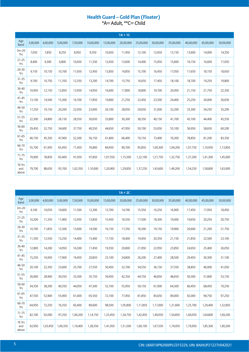## Health Guard – Gold Plan (Floater)<br>\*A= Adult, \*\*C= Child

|                        |          |          |          |          |           |           | $1A + 1C$ |           |           |           |           |           |           |
|------------------------|----------|----------|----------|----------|-----------|-----------|-----------|-----------|-----------|-----------|-----------|-----------|-----------|
| Age<br><b>Band</b>     | 3,00,000 | 4,00,000 | 5,00,000 | 7,50,000 | 10,00,000 | 15,00,000 | 20,00,000 | 25,00,000 | 30,00,000 | 35,00,000 | 40,00,000 | 45,00,000 | 50,00,000 |
| $3m-20$<br>Yrs         | 7,050    | 7,850    | 8,250    | 8,950    | 9,550     | 10,650    | 11,450    | 12,100    | 12,650    | 13,150    | 13,600    | 14,000    | 14,350    |
| $21 - 25$<br>Yrs       | 8,400    | 9,300    | 9,800    | 10,650   | 11,350    | 12,650    | 13,600    | 14,400    | 15,050    | 15,600    | 16,150    | 16,600    | 17,050    |
| 26-30<br>Yrs           | 9,150    | 10,150   | 10,700   | 11,650   | 12,450    | 13,850    | 14,850    | 15,700    | 16,450    | 17,050    | 17,650    | 18,150    | 18,650    |
| $31 - 35$<br>Yrs       | 9,700    | 10,750   | 11,350   | 12,350   | 13,200    | 14,700    | 15,750    | 16,650    | 17,450    | 18,100    | 18,700    | 19,250    | 19,800    |
| 36-40<br>Yrs           | 10,950   | 12,150   | 12,850   | 13,950   | 14,950    | 16,600    | 17,800    | 18,800    | 19,700    | 20,450    | 21,150    | 21,750    | 22,350    |
| $41 - 45$<br>Yrs       | 13,100   | 14,500   | 15,300   | 16,700   | 17,850    | 19,800    | 21,250    | 22,450    | 23,500    | 24,400    | 25,250    | 26,000    | 26,650    |
| 46-50<br>Yrs           | 17,250   | 19,150   | 20,200   | 22,050   | 23,600    | 26,100    | 28,050    | 29,650    | 31,000    | 32,200    | 33,300    | 34,250    | 35,200    |
| 51-55<br>Yrs           | 22,300   | 24,800   | 26,150   | 28,550   | 30,650    | 33,800    | 36,300    | 38,350    | 40,150    | 41,700    | 43,100    | 44,400    | 45,550    |
| 56-60<br>Yrs           | 29,450   | 32,750   | 34,600   | 37,750   | 40,550    | 44,650    | 47,950    | 50,700    | 53,050    | 55,100    | 56,950    | 58.650    | 60,200    |
| 61-65<br>Yrs           | 40,750   | 45,350   | 47,900   | 52,300   | 56,150    | 61,800    | 66,400    | 70,150    | 73,400    | 76,300    | 78,850    | 81,200    | 83,350    |
| 66-70<br>Yrs           | 55,700   | 61,950   | 65,450   | 71,450   | 76,800    | 84,450    | 90,700    | 95,850    | 1,00,300  | 1,04,200  | 1,07,750  | 1,10,950  | 1,13,850  |
| $71 - 75$<br>Yrs       | 70,900   | 78,850   | 83,400   | 91,050   | 97,850    | 1,07,550  | 1,15,500  | 1,22,100  | 1,27,750  | 1,32,750  | 1,37,200  | 1,41,300  | 1,45,000  |
| 76 Yrs<br>and<br>above | 79,700   | 88,650   | 93,700   | 1,02,350 | 1,10,000  | 1,20,900  | 1,29,850  | 1,37,250  | 1,43,600  | 1,49,200  | 1,54,250  | 1,58,800  | 1,63,000  |

|                        |          |          |          |          |           |           | $1A + 2C$ |           |           |           |           |           |           |
|------------------------|----------|----------|----------|----------|-----------|-----------|-----------|-----------|-----------|-----------|-----------|-----------|-----------|
| Age<br><b>Band</b>     | 3,00,000 | 4,00,000 | 5,00,000 | 7,50,000 | 10,00,000 | 15,00,000 | 20,00,000 | 25,00,000 | 30,00,000 | 35,00,000 | 40,00,000 | 45,00,000 | 50,00,000 |
| $3m-20$<br>Yrs         | 9,100    | 10,050   | 10,600   | 11,500   | 12,300    | 13,700    | 14,700    | 15,550    | 16,250    | 16,900    | 17,450    | 17,950    | 18,450    |
| $21 - 25$<br>Yrs       | 10,200   | 11,350   | 11,900   | 12,950   | 13,850    | 15,450    | 16,550    | 17,500    | 18,300    | 19,000    | 19,650    | 20,250    | 20,750    |
| 26-30<br>Yrs           | 10,700   | 11,850   | 12,500   | 13,600   | 14,500    | 16,150    | 17,350    | 18,300    | 19,150    | 19,900    | 20,600    | 21,200    | 21,750    |
| $31 - 35$<br>Yrs       | 11,350   | 12,550   | 13,250   | 14,400   | 15,400    | 17,150    | 18,400    | 19,450    | 20,350    | 21,150    | 21,850    | 22,500    | 23,100    |
| 36-40<br>Yrs           | 12,800   | 14,200   | 14,950   | 16,300   | 17,450    | 19,350    | 20,800    | 21,950    | 22,950    | 23,850    | 24,650    | 25,400    | 26,050    |
| $41 - 45$<br>Yrs       | 15,250   | 16,950   | 17,900   | 19,450   | 20,850    | 23,100    | 24,800    | 26,200    | 27,400    | 28,500    | 29,450    | 30,300    | 31,100    |
| 46-50<br>Yrs           | 20,100   | 22,350   | 23,600   | 25,700   | 27,550    | 30,450    | 32,700    | 34,550    | 36,150    | 37,550    | 38,850    | 40,000    | 41,050    |
| 51-55<br>Yrs           | 26,000   | 28,900   | 30,550   | 33,300   | 35,750    | 39,450    | 42,350    | 44,750    | 46,850    | 48,650    | 50,300    | 51,800    | 53,150    |
| 56-60<br>Yrs           | 34,350   | 38,200   | 40,350   | 44,050   | 47,300    | 52,100    | 55,950    | 59,150    | 61,900    | 64,300    | 66,450    | 68,450    | 70,250    |
| 61-65<br>Yrs           | 47,550   | 52,900   | 55,900   | 61,000   | 65,550    | 72,100    | 77,450    | 81,850    | 85,650    | 89,000    | 92,000    | 94,750    | 97,250    |
| 66-70<br>Yrs           | 64,950   | 72,250   | 76,350   | 83,400   | 89,600    | 98,500    | 1,05,800  | 1,11,850  | 1,17,000  | 1,21,600  | 1,25,700  | 1,29,400  | 1,32,850  |
| $71 - 75$<br>Yrs       | 82,700   | 92,000   | 97,250   | 1,06,200 | 1,14,150  | 1,25,450  | 1,34,750  | 1,42,450  | 1,49,050  | 1,54,850  | 1,60,050  | 1,64,800  | 1,69,200  |
| 76 Yrs<br>and<br>above | 92,950   | 1,03,450 | 1,09,350 | 1,19,400 | 1,28,350  | 1,41,050  | 1,51,500  | 1,60,100  | 1,67,550  | 1,74,050  | 1,79,950  | 1,85,300  | 1,90,200  |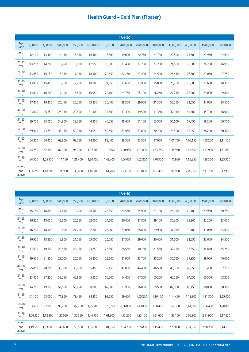|                        |          |          |          |          |           |           | $1A + 3C$ |           |           |           |           |           |           |
|------------------------|----------|----------|----------|----------|-----------|-----------|-----------|-----------|-----------|-----------|-----------|-----------|-----------|
| Age<br>Band            | 3,00,000 | 4,00,000 | 5,00,000 | 7,50,000 | 10,00,000 | 15,00,000 | 20,00,000 | 25,00,000 | 30,00,000 | 35,00,000 | 40,00,000 | 45,00,000 | 50,00,000 |
| $3m-20$<br>Yrs         | 12,100   | 13,400   | 14,150   | 15,350   | 16,400    | 18,300    | 19,600    | 20,750    | 21,700    | 22,500    | 23,300    | 23,950    | 24,600    |
| $21 - 25$<br>Yrs       | 13,250   | 14,700   | 15,450   | 16,800   | 17,950    | 20,000    | 21,450    | 22,700    | 23,750    | 24,650    | 25,500    | 26,250    | 26,900    |
| 26-30<br>Yrs           | 13,650   | 15,150   | 15,950   | 17,350   | 18,500    | 20,650    | 22,150    | 23,400    | 24,500    | 25,450    | 26,300    | 27,050    | 27,750    |
| 31-35<br>Yrs           | 13,950   | 15,450   | 16,250   | 17,700   | 18,900    | 21,050    | 22,600    | 23,900    | 25,000    | 25,950    | 26,800    | 27,600    | 28,350    |
| 36-40<br>Yrs           | 14,600   | 16,200   | 17,100   | 18,600   | 19,950    | 22,100    | 23,750    | 25,100    | 26,250    | 27,250    | 28,200    | 29,000    | 29,800    |
| $41 - 45$<br>Yrs       | 17,450   | 19,350   | 20,450   | 22,250   | 23,850    | 26,400    | 28,350    | 29,950    | 31,350    | 32,550    | 33,650    | 34,650    | 35,550    |
| 46-50<br>Yrs           | 23,000   | 25,550   | 26,950   | 29,400   | 31,500    | 34,800    | 37,400    | 39,500    | 41,350    | 42,950    | 44,400    | 45,700    | 46,900    |
| 51-55<br>Yrs           | 29,750   | 33,050   | 34,900   | 38,050   | 40,850    | 45,050    | 48,400    | 51,150    | 53,500    | 55,600    | 57,450    | 59,200    | 60,750    |
| 56-60<br>Yrs           | 39,300   | 43,650   | 46,150   | 50,350   | 54,050    | 59,550    | 63,950    | 67,600    | 70,700    | 73,500    | 75,950    | 78,200    | 80,300    |
| 61-65<br>Yrs           | 54,350   | 60,450   | 63,900   | 69,750   | 74,900    | 82,400    | 88,500    | 93,550    | 97,900    | 1,01,700  | 1,05,150  | 1,08,250  | 1,11,150  |
| 66-70<br>Yrs           | 74,250   | 82,600   | 87,300   | 95,300   | 1,02,400  | 1,12,600  | 1,20,950  | 1,27,800  | 1,33,750  | 1,38,950  | 1,43,650  | 1,47,900  | 1,51,850  |
| $71 - 75$<br>Yrs       | 94,550   | 1,05,150 | 1,11,150 | 1,21,400 | 1,30,450  | 1,43,400  | 1,54,000  | 1,62,800  | 1,70,350  | 1,76,950  | 1,82,950  | 1,88,350  | 1,93,350  |
| 76 Yrs<br>and<br>above | 1,06,250 | 1,18,200 | 1,24,950 | 1,36,450 | 1,46,700  | 1,61,200  | 1,73,100  | 1,83,000  | 1,91,450  | 1,98,950  | 2,05,650  | 2,11,750  | 2,17,350  |

|                        |          |          |          |          |           |           | $1A + 4C$ |           |           |           |           |           |           |
|------------------------|----------|----------|----------|----------|-----------|-----------|-----------|-----------|-----------|-----------|-----------|-----------|-----------|
| Age<br>Band            | 3,00,000 | 4,00,000 | 5,00,000 | 7,50,000 | 10,00,000 | 15,00,000 | 20,00,000 | 25,00,000 | 30,00,000 | 35,00,000 | 40,00,000 | 45,00,000 | 50,00,000 |
| $3m-20$<br>Yrs         | 15,150   | 16,800   | 17,650   | 19,200   | 20,500    | 22,850    | 24,550    | 25,900    | 27,100    | 28,150    | 29,100    | 29,950    | 30,750    |
| $21 - 25$<br>Yrs       | 16,250   | 18,050   | 19,000   | 20,650   | 22,050    | 24,600    | 26,400    | 27,850    | 29,150    | 30,300    | 31,300    | 32,200    | 33,050    |
| 26-30<br>Yrs           | 16,700   | 18,500   | 19,500   | 21,200   | 22,600    | 25,200    | 27,050    | 28,600    | 29,900    | 31,050    | 32,100    | 33,050    | 33,900    |
| $31 - 35$<br>Yrs       | 16,950   | 18,800   | 19,800   | 21,550   | 23,000    | 25,650    | 27,500    | 29,050    | 30,400    | 31,600    | 32,650    | 33,600    | 34,500    |
| 36-40<br>Yrs           | 17,600   | 19,500   | 20,550   | 22,350   | 23,850    | 26,600    | 28,550    | 30,150    | 31,550    | 32,750    | 33,850    | 34,850    | 35,750    |
| $41 - 45$<br>Yrs       | 19,600   | 21,800   | 23,000   | 25,050   | 26,800    | 29,700    | 31,900    | 33,700    | 35,250    | 36,650    | 37,850    | 39,000    | 40,000    |
| 46-50<br>Yrs           | 25,850   | 28,700   | 30,300   | 33,050   | 35,450    | 39,150    | 42,050    | 44,450    | 46,500    | 48,300    | 49,950    | 51,400    | 52,750    |
| 51-55<br>Yrs           | 33,450   | 37,200   | 39,250   | 42,800   | 45,950    | 50,700    | 54,450    | 57,550    | 60,200    | 62,550    | 64,650    | 66,550    | 68,350    |
| 56-60<br>Yrs           | 44,200   | 49,150   | 51,900   | 56,650   | 60,800    | 67,000    | 71,950    | 76,050    | 79,550    | 82,650    | 85,450    | 88,000    | 90,300    |
| 61-65<br>Yrs           | 61,150   | 68,000   | 71,850   | 78,450   | 84,250    | 92,750    | 99,600    | 1,05,250  | 1,10,150  | 1,14,450  | 1,18,300  | 1,21,800  | 1,25,000  |
| 66-70<br>Yrs           | 83,500   | 92,900   | 98,200   | 1,07,200 | 1,15,200  | 1,26,650  | 1,36,050  | 1,43,800  | 1,50,450  | 1,56,350  | 1,61,600  | 1,66,400  | 1,70,800  |
| $71 - 75$<br>Yrs       | 1,06,350 | 1,18,300 | 1,25,050 | 1,36,550 | 1,46,750  | 1,61,300  | 1,73,250  | 1,83,150  | 1,91,600  | 1,99,100  | 2,05,800  | 2,11,900  | 2,17,550  |
| 76 Yrs<br>and<br>above | 1,19,550 | 1,33,000 | 1,40,600 | 1,53,550 | 1,65,000  | 1,81,350  | 1,94,750  | 2,05,850  | 2,15,400  | 2,23,800  | 2,31,350  | 2,38,200  | 2,44,550  |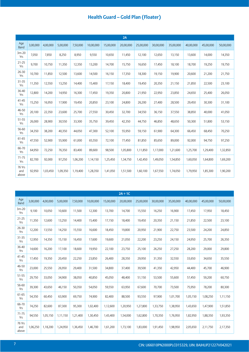|                        |          |          |          |          |           |           | 2A        |           |           |           |           |           |           |
|------------------------|----------|----------|----------|----------|-----------|-----------|-----------|-----------|-----------|-----------|-----------|-----------|-----------|
| Age<br>Band            | 3,00,000 | 4,00,000 | 5,00,000 | 7,50,000 | 10,00,000 | 15,00,000 | 20,00,000 | 25,00,000 | 30,00,000 | 35,00,000 | 40,00,000 | 45,00,000 | 50,00,000 |
| $3m-20$<br>Yrs         | 7,050    | 7,850    | 8,250    | 8,950    | 9,550     | 10,650    | 11,450    | 12,100    | 12,650    | 13,150    | 13,600    | 14,000    | 14,350    |
| $21 - 25$<br>Yrs       | 9,700    | 10,750   | 11,350   | 12,350   | 13,200    | 14,700    | 15,750    | 16,650    | 17,450    | 18,100    | 18,700    | 19,250    | 19,750    |
| $26 - 30$<br>Yrs       | 10,700   | 11,850   | 12,500   | 13,600   | 14,500    | 16,150    | 17,350    | 18,300    | 19,150    | 19,900    | 20,600    | 21,200    | 21,750    |
| $31 - 35$<br>Yrs       | 11,350   | 12,550   | 13,250   | 14,400   | 15,400    | 17,150    | 18,400    | 19,450    | 20,350    | 21,150    | 21,850    | 22,500    | 23,100    |
| 36-40<br>Yrs           | 12,800   | 14,200   | 14,950   | 16,300   | 17,450    | 19,350    | 20,800    | 21,950    | 22,950    | 23,850    | 24,650    | 25,400    | 26,050    |
| $41 - 45$<br>Yrs       | 15,250   | 16,950   | 17,900   | 19,450   | 20,850    | 23,100    | 24,800    | 26,200    | 27,400    | 28,500    | 29,450    | 30,300    | 31,100    |
| 46-50<br>Yrs           | 20,100   | 22,350   | 23,600   | 25,700   | 27,550    | 30,450    | 32,700    | 34,550    | 36,150    | 37,550    | 38,850    | 40,000    | 41,050    |
| 51-55<br>Yrs           | 26,000   | 28,900   | 30,550   | 33,300   | 35,750    | 39,450    | 42,350    | 44,750    | 46,850    | 48,650    | 50,300    | 51,800    | 53,150    |
| 56-60<br>Yrs           | 34,350   | 38,200   | 40,350   | 44,050   | 47,300    | 52,100    | 55,950    | 59,150    | 61,900    | 64,300    | 66,450    | 68,450    | 70,250    |
| 61-65<br>Yrs           | 47,550   | 52,900   | 55,900   | 61,000   | 65,550    | 72,100    | 77,450    | 81,850    | 85,650    | 89,000    | 92,000    | 94,750    | 97,250    |
| 66-70<br>Yrs           | 64,950   | 72,250   | 76,350   | 83,400   | 89,600    | 98,500    | 1,05,800  | 1,11,850  | 1,17,000  | 1,21,600  | 1,25,700  | 1,29,400  | 1,32,850  |
| $71 - 75$<br>Yrs       | 82,700   | 92,000   | 97,250   | 1,06,200 | 1,14,150  | 1,25,450  | 1,34,750  | 1,42,450  | 1,49,050  | 1,54,850  | 1,60,050  | 1,64,800  | 1,69,200  |
| 76 Yrs<br>and<br>above | 92,950   | 1,03,450 | 1,09,350 | 1,19,400 | 1,28,350  | 1,41,050  | 1,51,500  | 1,60,100  | 1,67,550  | 1,74,050  | 1,79,950  | 1,85,300  | 1,90,200  |

|                        |          |          |          |          |           |           | $2A + 1C$ |           |           |           |           |           |           |
|------------------------|----------|----------|----------|----------|-----------|-----------|-----------|-----------|-----------|-----------|-----------|-----------|-----------|
| Age<br>Band            | 3,00,000 | 4,00,000 | 5,00,000 | 7,50,000 | 10,00,000 | 15,00,000 | 20,00,000 | 25,00,000 | 30,00,000 | 35,00,000 | 40,00,000 | 45,00,000 | 50,00,000 |
| $3m-20$<br>Yrs         | 9,100    | 10,050   | 10,600   | 11,500   | 12,300    | 13,700    | 14,700    | 15,550    | 16,250    | 16,900    | 17,450    | 17,950    | 18,450    |
| $21 - 25$<br>Yrs       | 11,350   | 12,600   | 13,250   | 14,400   | 15,400    | 17,150    | 18,400    | 19,450    | 20,350    | 21,150    | 21,850    | 22,500    | 23,100    |
| 26-30<br>Yrs           | 12,200   | 13,550   | 14,250   | 15,550   | 16,600    | 18,450    | 19,800    | 20,950    | 21,900    | 22,750    | 23,500    | 24,200    | 24,850    |
| $31 - 35$<br>Yrs       | 12,950   | 14,350   | 15,150   | 16,450   | 17,600    | 19,600    | 21,050    | 22,200    | 23,250    | 24,150    | 24,950    | 25,700    | 26,350    |
| 36-40<br>Yrs           | 14,600   | 16,200   | 17,100   | 18,600   | 19,950    | 22,100    | 23,750    | 25,100    | 26,250    | 27,250    | 28,200    | 29,000    | 29,800    |
| $41 - 45$<br>Yrs       | 17,450   | 19,350   | 20,450   | 22,250   | 23,850    | 26,400    | 28,350    | 29,950    | 31,350    | 32,550    | 33,650    | 34,650    | 35,550    |
| 46-50<br>Yrs           | 23,000   | 25,550   | 26,950   | 29,400   | 31,500    | 34,800    | 37,400    | 39,500    | 41,350    | 42,950    | 44,400    | 45,700    | 46,900    |
| 51-55<br>Yrs           | 29,750   | 33,050   | 34,900   | 38,050   | 40,850    | 45,050    | 48,400    | 51,150    | 53,500    | 55,600    | 57,450    | 59,200    | 60,750    |
| 56-60<br>Yrs           | 39,300   | 43,650   | 46,150   | 50,350   | 54,050    | 59,550    | 63,950    | 67,600    | 70,700    | 73,500    | 75,950    | 78,200    | 80,300    |
| 61-65<br>Yrs           | 54,350   | 60,450   | 63,900   | 69,750   | 74,900    | 82,400    | 88,500    | 93,550    | 97,900    | 1,01,700  | 1,05,150  | 1,08,250  | 1,11,150  |
| 66-70<br>Yrs           | 74,250   | 82,600   | 87,300   | 95,300   | 1,02,400  | 1,12,600  | 1,20,950  | 1,27,800  | 1,33,750  | 1,38,950  | 1,43,650  | 1,47,900  | 1,51,850  |
| $71 - 75$<br>Yrs       | 94,550   | 1,05,150 | 1,11,150 | 1,21,400 | 1,30,450  | 1,43,400  | 1,54,000  | 1,62,800  | 1,70,350  | 1,76,950  | 1,82,950  | 1,88,350  | 1,93,350  |
| 76 Yrs<br>and<br>above | 1,06,250 | 1,18,200 | 1,24,950 | 1,36,450 | 1,46,700  | 1,61,200  | 1,73,100  | 1,83,000  | 1,91,450  | 1,98,950  | 2,05,650  | 2,11,750  | 2,17,350  |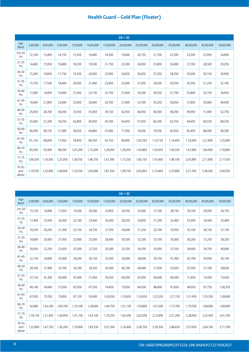|                        |          |          |          |          |           |           | $2A + 2C$ |           |           |           |           |           |           |
|------------------------|----------|----------|----------|----------|-----------|-----------|-----------|-----------|-----------|-----------|-----------|-----------|-----------|
| Age<br>Band            | 3,00,000 | 4,00,000 | 5,00,000 | 7,50,000 | 10,00,000 | 15,00,000 | 20,00,000 | 25,00,000 | 30,00,000 | 35,00,000 | 40,00,000 | 45,00,000 | 50,00,000 |
| $3m-20$<br>Yrs         | 12,100   | 13,400   | 14,150   | 15,350   | 16,400    | 18,300    | 19,600    | 20,750    | 21,700    | 22,500    | 23,300    | 23,950    | 24,600    |
| $21 - 25$<br>Yrs       | 14,400   | 15,950   | 16,800   | 18,250   | 19,500    | 21,750    | 23,300    | 24,650    | 25,800    | 26,800    | 27,700    | 28,500    | 29,250    |
| 26-30<br>Yrs           | 15,200   | 16,850   | 17,750   | 19,350   | 20,650    | 23,000    | 24,650    | 26,050    | 27,250    | 28,350    | 29,300    | 30,150    | 30,950    |
| $31 - 35$<br>Yrs       | 15,750   | 17,500   | 18,400   | 20,050   | 21,400    | 23,850    | 25,600    | 27,050    | 28,300    | 29,350    | 30,350    | 31,250    | 32,100    |
| 36-40<br>Yrs           | 17,000   | 18,850   | 19,900   | 21,650   | 23,150    | 25,750    | 27,600    | 29,200    | 30,550    | 31,700    | 32,800    | 33,750    | 34,650    |
| $41 - 45$<br>Yrs       | 19,600   | 21,800   | 23,000   | 25,050   | 26,800    | 29,700    | 31,900    | 33,700    | 35,250    | 36,650    | 37,850    | 39,000    | 40,000    |
| 46-50<br>Yrs           | 25,850   | 28,700   | 30,300   | 33,050   | 35,450    | 39,150    | 42,050    | 44,450    | 46,500    | 48,300    | 49,950    | 51,400    | 52,750    |
| 51-55<br>Yrs           | 33,450   | 37,200   | 39,250   | 42,800   | 45,950    | 50,700    | 54,450    | 57,550    | 60,200    | 62,550    | 64,650    | 66,550    | 68,350    |
| 56-60<br>Yrs           | 44,200   | 49,150   | 51,900   | 56,650   | 60,800    | 67,000    | 71,950    | 76,050    | 79,550    | 82,650    | 85,450    | 88,000    | 90,300    |
| 61-65<br>Yrs           | 61,150   | 68,000   | 71,850   | 78,450   | 84,250    | 92,750    | 99,600    | 1,05,250  | 1,10,150  | 1,14,450  | 1,18,300  | 1,21,800  | 1,25,000  |
| 66-70<br>Yrs           | 83,500   | 92,900   | 98,200   | 1,07,200 | 1,15,200  | 1,26,650  | 1,36,050  | 1,43,800  | 1,50,450  | 1,56,350  | 1,61,600  | 1,66,400  | 1,70,800  |
| $71 - 75$<br>Yrs       | 1,06,350 | 1,18,300 | 1,25,050 | 1,36,550 | 1,46,750  | 1,61,300  | 1,73,250  | 1,83,150  | 1,91,600  | 1,99,100  | 2,05,800  | 2,11,900  | 2,17,550  |
| 76 Yrs<br>and<br>above | 1,19,550 | 1,33,000 | 1,40,600 | 1,53,550 | 1,65,000  | 1,81,350  | 1,94,750  | 2,05,850  | 2,15,400  | 2,23,800  | 2,31,350  | 2,38,200  | 2,44,550  |

|                        |          |          |          |          |           |           | $2A + 3C$ |           |           |           |           |           |           |
|------------------------|----------|----------|----------|----------|-----------|-----------|-----------|-----------|-----------|-----------|-----------|-----------|-----------|
| Age<br>Band            | 3,00,000 | 4,00,000 | 5,00,000 | 7,50,000 | 10,00,000 | 15,00,000 | 20,00,000 | 25,00,000 | 30,00,000 | 35,00,000 | 40,00,000 | 45,00,000 | 50,00,000 |
| $3m-20$<br>Yrs         | 15,150   | 16,800   | 17,650   | 19,200   | 20,500    | 22,850    | 24,550    | 25,900    | 27,100    | 28,150    | 29,100    | 29,950    | 30,750    |
| $21 - 25$<br>Yrs       | 17,400   | 19,300   | 20,300   | 22,100   | 23,600    | 26,300    | 28,250    | 29,850    | 31,200    | 32,400    | 33,500    | 34,500    | 35,400    |
| 26-30<br>Yrs           | 18,250   | 20,200   | 21,300   | 23,150   | 24,750    | 27,550    | 29,600    | 31,250    | 32,700    | 33,950    | 35,100    | 36,150    | 37,100    |
| $31 - 35$<br>Yrs       | 18,800   | 20,850   | 21,950   | 23,900   | 25,500    | 28,400    | 30,500    | 32,200    | 33,700    | 35,000    | 36,200    | 37,250    | 38,250    |
| 36-40<br>Yrs           | 20,050   | 22,250   | 23,450   | 25,500   | 27,250    | 30,300    | 32,550    | 34,350    | 35,950    | 37,350    | 38,600    | 39,750    | 40,800    |
| $41 - 45$<br>Yrs       | 22,150   | 24,600   | 25,900   | 28,200   | 30,150    | 33,500    | 36,000    | 38,000    | 39,750    | 41,300    | 42,700    | 43,950    | 45,100    |
| 46-50<br>Yrs           | 28,700   | 31,900   | 33,700   | 36,700   | 39,350    | 43,500    | 46,700    | 49,400    | 51,650    | 53,650    | 55,500    | 57,100    | 58,650    |
| 51-55<br>Yrs           | 37,150   | 41,300   | 43,600   | 47,600   | 51,050    | 56,350    | 60,500    | 63,950    | 66,900    | 69,500    | 71,850    | 73,950    | 75,950    |
| 56-60<br>Yrs           | 49,100   | 54,600   | 57,650   | 62,950   | 67,550    | 74,450    | 79,950    | 84,500    | 88,400    | 91,850    | 94,950    | 97,750    | 1,00,350  |
| 61-65<br>Yrs           | 67,950   | 75,550   | 79,850   | 87,150   | 93,600    | 1,03,050  | 1,10,650  | 1,16,950  | 1,22,350  | 1,27,150  | 1,31,450  | 1,35,350  | 1,38,900  |
| 66-70<br>Yrs           | 92,800   | 1,03,200 | 1,09,100 | 1,19,100 | 1,28,000  | 1,40,750  | 1,51,150  | 1,59,800  | 1,67,200  | 1,73,700  | 1,79,550  | 1,84,900  | 1,89,800  |
| $71 - 75$<br>Yrs       | 1,18,150 | 1,31,450 | 1,38,950 | 1,51,750 | 1,63,100  | 1,79,250  | 1,92,500  | 2,03,500  | 2,12,900  | 2,21,200  | 2,28,650  | 2,35,450  | 2,41,700  |
| 76 Yrs<br>and<br>above | 1,32,800 | 1,47,750 | 1,56,200 | 1,70,600 | 1,83,350  | 2,01,500  | 2,16,400  | 2,28,750  | 2,39,350  | 2,48,650  | 2,57,050  | 2,64,700  | 2,71,700  |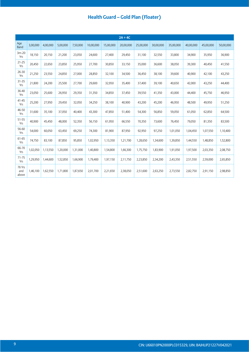|                        |          |          |          |          |           |           | $2A + 4C$ |           |           |           |           |           |           |
|------------------------|----------|----------|----------|----------|-----------|-----------|-----------|-----------|-----------|-----------|-----------|-----------|-----------|
| Age<br><b>Band</b>     | 3,00,000 | 4,00,000 | 5,00,000 | 7,50,000 | 10,00,000 | 15,00,000 | 20,00,000 | 25,00,000 | 30,00,000 | 35,00,000 | 40,00,000 | 45,00,000 | 50,00,000 |
| $3m-20$<br>Yrs         | 18,150   | 20,150   | 21,200   | 23,050   | 24,600    | 27,400    | 29,450    | 31,100    | 32,550    | 33,800    | 34,900    | 35,950    | 36,900    |
| $21 - 25$<br>Yrs       | 20,450   | 22,650   | 23,850   | 25,950   | 27,700    | 30,850    | 33,150    | 35,000    | 36,600    | 38,050    | 39,300    | 40,450    | 41,550    |
| $26 - 30$<br>Yrs       | 21,250   | 23,550   | 24,850   | 27,000   | 28,850    | 32,100    | 34,500    | 36,450    | 38,100    | 39,600    | 40,900    | 42,100    | 43,250    |
| $31 - 35$<br>Yrs       | 21,800   | 24,200   | 25,500   | 27,700   | 29,600    | 32,950    | 35,400    | 37,400    | 39,100    | 40,650    | 42,000    | 43,250    | 44,400    |
| 36-40<br>Yrs           | 23,050   | 25,600   | 26,950   | 29,350   | 31,350    | 34,850    | 37,450    | 39,550    | 41,350    | 43,000    | 44,400    | 45,750    | 46,950    |
| $41 - 45$<br>Yrs       | 25,200   | 27,950   | 29,450   | 32,050   | 34,250    | 38,100    | 40,900    | 43,200    | 45,200    | 46,950    | 48,500    | 49,950    | 51,250    |
| 46-50<br>Yrs           | 31,600   | 35,100   | 37,050   | 40,400   | 43,300    | 47,850    | 51,400    | 54,300    | 56,850    | 59,050    | 61,050    | 62,850    | 64,500    |
| 51-55<br>Yrs           | 40,900   | 45,450   | 48,000   | 52,350   | 56,150    | 61,950    | 66,550    | 70,350    | 73,600    | 76,450    | 79,050    | 81,350    | 83,500    |
| 56-60<br>Yrs           | 54,000   | 60,050   | 63,450   | 69,250   | 74,300    | 81,900    | 87,950    | 92,950    | 97,250    | 1,01,050  | 1,04,450  | 1,07,550  | 1,10,400  |
| 61-65<br>Yrs           | 74,750   | 83,100   | 87,850   | 95,850   | 1,02,950  | 1,13,350  | 1,21,700  | 1,28,650  | 1,34,600  | 1,39,850  | 1,44,550  | 1,48,850  | 1,52,800  |
| 66-70<br>Yrs           | 1,02,050 | 1,13,550 | 1,20,000 | 1,31,000 | 1,40,800  | 1,54,800  | 1,66,300  | 1,75,750  | 1,83,900  | 1,91,050  | 1,97,500  | 2,03,350  | 2,08,750  |
| $71 - 75$<br>Yrs       | 1,29,950 | 1,44,600 | 1,52,850 | 1,66,900 | 1,79,400  | 1,97,150  | 2,11,750  | 2,23,850  | 2,34,200  | 2,43,350  | 2,51,550  | 2,59,000  | 2,65,850  |
| 76 Yrs<br>and<br>above | 1,46,100 | 1,62,550 | 1,71,800 | 1,87,650 | 2,01,700  | 2,21,650  | 2,38,050  | 2,51,600  | 2,63,250  | 2,73,550  | 2,82,750  | 2,91,150  | 2,98,850  |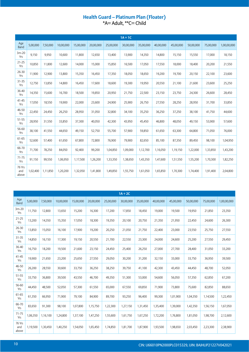## Health Guard - Platinum Plan (Floater)<br>\*A= Adult, \*\*C= Child

|                        |          |          |           |           |           |           | $1A + 1C$ |           |           |           |           |           |             |
|------------------------|----------|----------|-----------|-----------|-----------|-----------|-----------|-----------|-----------|-----------|-----------|-----------|-------------|
| Age<br>Band            | 5,00,000 | 7,50,000 | 10,00,000 | 15,00,000 | 20,00,000 | 25,00,000 | 30,00,000 | 35,00,000 | 40,00,000 | 45,00,000 | 50,00,000 | 75,00,000 | 1,00,00,000 |
| $3m-20$<br>Yrs         | 9,150    | 9,950    | 10,600    | 11,800    | 12,650    | 13,400    | 13,900    | 14,350    | 14,800    | 15,150    | 15,550    | 17,000    | 18,150      |
| $21 - 25$<br>Yrs       | 10,850   | 11,800   | 12,600    | 14,000    | 15,000    | 15,850    | 16,500    | 17,050    | 17,550    | 18,000    | 18,400    | 20,200    | 21,550      |
| 26-30<br>Yrs           | 11,900   | 12,900   | 13,800    | 15,350    | 16,450    | 17,350    | 18,050    | 18,650    | 19,200    | 19,700    | 20,150    | 22,100    | 23,600      |
| $31 - 35$<br>Yrs       | 12,750   | 13,850   | 14,800    | 16,450    | 17,600    | 18,600    | 19,300    | 19,950    | 20,550    | 21,100    | 21,600    | 23,600    | 25,250      |
| 36-40<br>Yrs           | 14,350   | 15,600   | 16,700    | 18,500    | 19,850    | 20,950    | 21,750    | 22,500    | 23,150    | 23,750    | 24,300    | 26,600    | 28,450      |
| $41 - 45$<br>Yrs       | 17,050   | 18,550   | 19,900    | 22,000    | 23,600    | 24,900    | 25,900    | 26,750    | 27,550    | 28,250    | 28,950    | 31,700    | 33,850      |
| 46-50<br>Yrs           | 22,450   | 24,450   | 26,250    | 28,950    | 31,050    | 32,800    | 34,100    | 35,250    | 36,250    | 37,250    | 38,100    | 41,750    | 44,600      |
| $51 - 55$<br>Yrs       | 28,950   | 31,550   | 33,850    | 37,300    | 40,050    | 42,300    | 43,950    | 45,450    | 46,800    | 48,050    | 49,150    | 53,900    | 57,600      |
| 56-60<br>Yrs           | 38,100   | 41,550   | 44,650    | 49,150    | 52,750    | 55,700    | 57,900    | 59,850    | 61,650    | 63,300    | 64,800    | 71,050    | 76,000      |
| 61-65<br>Yrs           | 52,600   | 57,400   | 61,650    | 67,800    | 72,800    | 76,900    | 79,900    | 82,650    | 85,100    | 87,350    | 89,450    | 98,100    | 1,04,950    |
| 66-70<br>Yrs           | 71,700   | 78,250   | 84,050    | 92,400    | 99,200    | 1,04,850  | 1,09,000  | 1,12,700  | 1,16,050  | 1,19,150  | 1,22,000  | 1,33,850  | 1,43,200    |
| $71 - 75$<br>Yrs       | 91,150   | 99,550   | 1,06,950  | 1,17,500  | 1,26,200  | 1,33,350  | 1,38,650  | 1,43,350  | 1,47,600  | 1,51,550  | 1,55,200  | 1,70,300  | 1,82,250    |
| 76 Yrs<br>and<br>above | 1,02,400 | 1,11,850 | 1,20,200  | 1,32,050  | 1,41,800  | 1,49,850  | 1,55,750  | 1,61,050  | 1,65,850  | 1,70,300  | 1,74,400  | 1,91,400  | 2,04,800    |

|                        |          |          |           |           |           |           | $1A + 2C$ |           |           |           |           |           |             |
|------------------------|----------|----------|-----------|-----------|-----------|-----------|-----------|-----------|-----------|-----------|-----------|-----------|-------------|
| Age<br><b>Band</b>     | 5,00,000 | 7,50,000 | 10,00,000 | 15,00,000 | 20,00,000 | 25,00,000 | 30,00,000 | 35,00,000 | 40,00,000 | 45,00,000 | 50,00,000 | 75,00,000 | 1,00,00,000 |
| $3m-20$<br>Yrs         | 11,750   | 12,800   | 13,650    | 15,200    | 16,300    | 17,200    | 17,850    | 18,450    | 19,000    | 19,500    | 19,950    | 21,850    | 23,350      |
| $21 - 25$<br>Yrs       | 13,200   | 14,350   | 15,350    | 17,050    | 18,300    | 19,350    | 20,100    | 20,750    | 21,350    | 21,950    | 22,450    | 24,600    | 26,300      |
| $26 - 30$<br>Yrs       | 13,850   | 15,050   | 16,100    | 17,900    | 19,200    | 20,250    | 21,050    | 21,750    | 22,400    | 23,000    | 23,550    | 25,750    | 27,550      |
| $31 - 35$<br>Yrs       | 14,850   | 16,150   | 17,300    | 19,150    | 20,550    | 21,700    | 22,550    | 23,300    | 24,000    | 24,600    | 25,200    | 27,550    | 29,450      |
| 36-40<br>Yrs           | 16,750   | 18,200   | 19,500    | 21,600    | 23,150    | 24,450    | 25,400    | 26,250    | 27,000    | 27,700    | 28,400    | 31,050    | 33,200      |
| $41 - 45$<br>Yrs       | 19,900   | 21,650   | 23,200    | 25,650    | 27,550    | 29,050    | 30,200    | 31,200    | 32,150    | 33,000    | 33,750    | 36,950    | 39,500      |
| 46-50<br>Yrs           | 26,200   | 28,550   | 30,600    | 33,750    | 36,250    | 38,250    | 39,750    | 41,100    | 42,300    | 43,450    | 44,450    | 48,700    | 52,050      |
| 51-55<br>Yrs           | 33,750   | 36,800   | 39,500    | 43,550    | 46,700    | 49,350    | 51,300    | 53,000    | 54,600    | 56,050    | 57,350    | 62,850    | 67,200      |
| 56-60<br>Yrs           | 44,450   | 48,500   | 52,050    | 57,300    | 61,550    | 65,000    | 67,550    | 69,850    | 71,900    | 73,800    | 75,600    | 82,850    | 88,650      |
| 61-65<br>Yrs           | 61,350   | 66,950   | 71,900    | 79,100    | 84,900    | 89,700    | 93,250    | 96,400    | 99,300    | 1,01,900  | 1,04,350  | 1,14,500  | 1,22,450    |
| 66-70<br>Yrs           | 83,650   | 91,300   | 98,100    | 1,07,800  | 1,15,750  | 1,22,300  | 1,27,150  | 1,31,450  | 1,35,400  | 1,39,000  | 1,42,350  | 1,56,150  | 1,67,050    |
| $71 - 75$<br>Yrs       | 1,06,350 | 1,16,100 | 1,24,800  | 1,37,100  | 1,47,250  | 1,55,600  | 1,61,750  | 1,67,250  | 1,72,200  | 1,76,800  | 1,81,050  | 1,98,700  | 2,12,600    |
| 76 Yrs<br>and<br>above | 1,19,500 | 1,30,450 | 1,40,250  | 1,54,050  | 1,65,450  | 1,74,850  | 1,81,700  | 1,87,900  | 1,93,500  | 1,98,650  | 2,03,450  | 2,23,300  | 2,38,900    |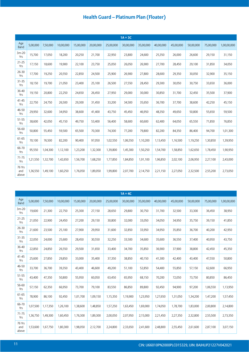|                        |          |          |           |           |           |           | $1A + 3C$ |           |           |           |           |           |             |
|------------------------|----------|----------|-----------|-----------|-----------|-----------|-----------|-----------|-----------|-----------|-----------|-----------|-------------|
| Age<br><b>Band</b>     | 5,00,000 | 7,50,000 | 10,00,000 | 15,00,000 | 20,00,000 | 25,00,000 | 30,00,000 | 35,00,000 | 40,00,000 | 45,00,000 | 50,00,000 | 75,00,000 | 1,00,00,000 |
| $3m-20$<br>Yrs         | 15,700   | 17,050   | 18,200    | 20,250    | 21,700    | 22,950    | 23,800    | 24,600    | 25,350    | 26,000    | 26,600    | 29,150    | 31,150      |
| $21 - 25$<br>Yrs       | 17,150   | 18,600   | 19,900    | 22,100    | 23,750    | 25,050    | 26,050    | 26,900    | 27,700    | 28,450    | 29,100    | 31,850    | 34,050      |
| $26 - 30$<br>Yrs       | 17,700   | 19,250   | 20,550    | 22,850    | 24,500    | 25,900    | 26,900    | 27,800    | 28,600    | 29,350    | 30,050    | 32,900    | 35,150      |
| $31 - 35$<br>Yrs       | 18,150   | 19,700   | 21,050    | 23,400    | 25,100    | 26,500    | 27,550    | 28,450    | 29,300    | 30,050    | 30,750    | 33,650    | 36,000      |
| 36-40<br>Yrs           | 19,150   | 20,800   | 22,250    | 24,650    | 26,450    | 27,950    | 29,000    | 30,000    | 30,850    | 31,700    | 32,450    | 35,500    | 37,900      |
| $41 - 45$<br>Yrs       | 22,750   | 24,750   | 26,500    | 29,300    | 31,450    | 33,200    | 34,500    | 35,650    | 36,700    | 37,700    | 38,600    | 42,250    | 45,150      |
| 46-50<br>Yrs           | 29,950   | 32,600   | 34,950    | 38,600    | 41,400    | 43,750    | 45,450    | 46,950    | 48,350    | 49,650    | 50,800    | 55,650    | 59,500      |
| 51-55<br>Yrs           | 38,600   | 42,050   | 45,150    | 49,750    | 53,400    | 56,400    | 58,600    | 60,600    | 62,400    | 64,050    | 65,550    | 71,850    | 76,850      |
| 56-60<br>Yrs           | 50,800   | 55,450   | 59,500    | 65,500    | 70,300    | 74,300    | 77,200    | 79,800    | 82,200    | 84,350    | 86,400    | 94,700    | 1,01,300    |
| 61-65<br>Yrs           | 70,100   | 76,500   | 82,200    | 90,400    | 97,050    | 1,02,550  | 1,06,550  | 1,10,200  | 1,13,450  | 1,16,500  | 1,19,250  | 1,30,850  | 1,39,950    |
| 66-70<br>Yrs           | 95,550   | 1,04,300 | 1,12,100  | 1,23,200  | 1,32,300  | 1,39,800  | 1,45,300  | 1,50,250  | 1,54,700  | 1,58,850  | 1,62,650  | 1,78,450  | 1,90,950    |
| $71 - 75$<br>Yrs       | 1,21,550 | 1,32,700 | 1,42,650  | 1,56,700  | 1,68,250  | 1,77,850  | 1,84,850  | 1,91,100  | 1,96,850  | 2,02,100  | 2,06,950  | 2,27,100  | 2,43,000    |
| 76 Yrs<br>and<br>above | 1,36,550 | 1,49,100 | 1,60,250  | 1,76,050  | 1,89,050  | 1,99,800  | 2,07,700  | 2,14,750  | 2,21,150  | 2,27,050  | 2,32,500  | 2,55,200  | 2,73,050    |

|                        |          |          |           |           |           |           | $1A + 4C$ |           |           |           |           |           |             |
|------------------------|----------|----------|-----------|-----------|-----------|-----------|-----------|-----------|-----------|-----------|-----------|-----------|-------------|
| Age<br>Band            | 5,00,000 | 7,50,000 | 10,00,000 | 15,00,000 | 20,00,000 | 25,00,000 | 30,00,000 | 35,00,000 | 40,00,000 | 45,00,000 | 50,00,000 | 75,00,000 | 1,00,00,000 |
| $3m-20$<br>Yrs         | 19,600   | 21,300   | 22,750    | 25,300    | 27,150    | 28,650    | 29,800    | 30,750    | 31,700    | 32,500    | 33,300    | 36,450    | 38,950      |
| $21 - 25$<br>Yrs       | 21,050   | 22,900   | 24,450    | 27,200    | 29,150    | 30,800    | 32,000    | 33,050    | 34,050    | 34,950    | 35,750    | 39,150    | 41,850      |
| $26 - 30$<br>Yrs       | 21,600   | 23,500   | 25,100    | 27,900    | 29,950    | 31,600    | 32,850    | 33,950    | 34,950    | 35,850    | 36,700    | 40,200    | 42,950      |
| 31-35<br>Yrs           | 22,050   | 24,000   | 25,600    | 28,450    | 30,550    | 32,250    | 33,500    | 34,600    | 35,600    | 36,550    | 37,400    | 40,950    | 43,750      |
| 36-40<br>Yrs           | 22,850   | 24,850   | 26,550    | 29,500    | 31,650    | 33,400    | 34,700    | 35,850    | 36,900    | 37,900    | 38,800    | 42,450    | 45,350      |
| $41 - 45$<br>Yrs       | 25,600   | 27,850   | 29,850    | 33,000    | 35,400    | 37,350    | 38,850    | 40,150    | 41,300    | 42,400    | 43,400    | 47,550    | 50,800      |
| 46-50<br>Yrs           | 33,700   | 36,700   | 39,350    | 43,400    | 46,600    | 49,200    | 51,100    | 52,850    | 54,400    | 55,850    | 57,150    | 62,600    | 66,950      |
| 51-55<br>Yrs           | 43,400   | 47,350   | 50,800    | 55,950    | 60,050    | 63,450    | 65,950    | 68,150    | 70,200    | 72,050    | 73,750    | 80,850    | 86,450      |
| 56-60<br>Yrs           | 57,150   | 62,350   | 66,950    | 73,700    | 79,100    | 83,550    | 86,850    | 89,800    | 92,450    | 94,900    | 97,200    | 1,06,550  | 1,13,950    |
| 61-65<br>Yrs           | 78,900   | 86,100   | 92,450    | 1,01,700  | 1,09,150  | 1,15,350  | 1,19,900  | 1,23,950  | 1,27,650  | 1,31,050  | 1,34,200  | 1,47,200  | 1,57,450    |
| 66-70<br>Yrs           | 1,07,500 | 1,17,350 | 1,26,100  | 1,38,600  | 1,48,850  | 1,57,250  | 1,63,450  | 1,69,000  | 1,74,050  | 1,78,700  | 1,83,000  | 2,00,800  | 2,14,800    |
| $71 - 75$<br>Yrs       | 1,36,750 | 1,49,300 | 1,60,450  | 1,76,300  | 1,89,300  | 2,00,050  | 2,07,950  | 2,15,000  | 2,21,450  | 2,27,350  | 2,32,800  | 2,55,500  | 2,73,350    |
| 76 Yrs<br>and<br>above | 1,53,600 | 1,67,750 | 1,80,300  | 1,98,050  | 2,12,700  | 2,24,800  | 2,33,650  | 2,41,600  | 2,48,800  | 2,55,450  | 2,61,600  | 2,87,100  | 3,07,150    |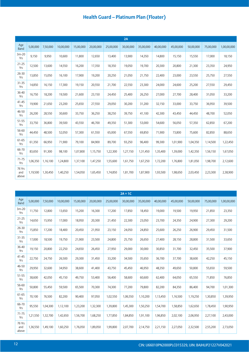|                        |          |          |           |           |           |           | 2A        |           |           |           |           |           |             |
|------------------------|----------|----------|-----------|-----------|-----------|-----------|-----------|-----------|-----------|-----------|-----------|-----------|-------------|
| Age<br>Band            | 5,00,000 | 7,50,000 | 10,00,000 | 15,00,000 | 20,00,000 | 25,00,000 | 30,00,000 | 35,00,000 | 40,00,000 | 45,00,000 | 50,00,000 | 75,00,000 | 1,00,00,000 |
| $3m-20$<br>Yrs         | 9,150    | 9,950    | 10,600    | 11,800    | 12,650    | 13,400    | 13,900    | 14,350    | 14,800    | 15,150    | 15,550    | 17,000    | 18,150      |
| $21 - 25$<br>Yrs       | 12,500   | 13,600   | 14,550    | 16,200    | 17,350    | 18,350    | 19,050    | 19,700    | 20,300    | 20,800    | 21,300    | 23,350    | 24,950      |
| $26 - 30$<br>Yrs       | 13,850   | 15,050   | 16,100    | 17,900    | 19,200    | 20,250    | 21,050    | 21,750    | 22,400    | 23,000    | 23,550    | 25,750    | 27,550      |
| 31-35<br>Yrs           | 14,850   | 16,150   | 17,300    | 19,150    | 20,550    | 21,700    | 22,550    | 23,300    | 24,000    | 24,600    | 25,200    | 27,550    | 29,450      |
| 36-40<br>Yrs           | 16,750   | 18,200   | 19,500    | 21,600    | 23,150    | 24,450    | 25,400    | 26,250    | 27,000    | 27,700    | 28,400    | 31,050    | 33,200      |
| $41 - 45$<br>Yrs       | 19,900   | 21,650   | 23,200    | 25,650    | 27,550    | 29,050    | 30,200    | 31,200    | 32,150    | 33,000    | 33,750    | 36,950    | 39,500      |
| 46-50<br>Yrs           | 26,200   | 28,550   | 30,600    | 33,750    | 36,250    | 38,250    | 39,750    | 41,100    | 42,300    | 43,450    | 44,450    | 48,700    | 52,050      |
| 51-55<br>Yrs           | 33,750   | 36,800   | 39,500    | 43,550    | 46,700    | 49,350    | 51,300    | 53,000    | 54,600    | 56,050    | 57,350    | 62,850    | 67,200      |
| 56-60<br>Yrs           | 44,450   | 48,500   | 52,050    | 57,300    | 61,550    | 65,000    | 67,550    | 69,850    | 71,900    | 73,800    | 75,600    | 82,850    | 88,650      |
| 61-65<br>Yrs           | 61,350   | 66,950   | 71,900    | 79,100    | 84,900    | 89,700    | 93,250    | 96,400    | 99,300    | 1,01,900  | 1,04,350  | 1,14,500  | 1,22,450    |
| 66-70<br>Yrs           | 83,650   | 91,300   | 98,100    | 1,07,800  | 1,15,750  | 1,22,300  | 1,27,150  | 1,31,450  | 1,35,400  | 1,39,000  | 1,42,350  | 1,56,150  | 1,67,050    |
| $71 - 75$<br>Yrs       | 1,06,350 | 1,16,100 | 1,24,800  | 1,37,100  | 1,47,250  | 1,55,600  | 1,61,750  | 1,67,250  | 1,72,200  | 1,76,800  | 1,81,050  | 1,98,700  | 2,12,600    |
| 76 Yrs<br>and<br>above | 1,19,500 | 1,30,450 | 1,40,250  | 1,54,050  | 1.65.450  | 1,74,850  | 1,81,700  | 1,87,900  | 1,93,500  | 1,98,650  | 2,03,450  | 2,23,300  | 2,38,900    |

|                        |          |          |           |           |           |           | $2A + 1C$ |           |           |           |           |           |             |
|------------------------|----------|----------|-----------|-----------|-----------|-----------|-----------|-----------|-----------|-----------|-----------|-----------|-------------|
| Age<br><b>Band</b>     | 5,00,000 | 7,50,000 | 10,00,000 | 15,00,000 | 20,00,000 | 25,00,000 | 30,00,000 | 35,00,000 | 40,00,000 | 45,00,000 | 50,00,000 | 75,00,000 | 1,00,00,000 |
| $3m-20$<br>Yrs         | 11,750   | 12,800   | 13,650    | 15,200    | 16,300    | 17,200    | 17,850    | 18,450    | 19,000    | 19,500    | 19,950    | 21,850    | 23,350      |
| $21 - 25$<br>Yrs       | 14,650   | 15,950   | 17,000    | 18,950    | 20,300    | 21,450    | 22,300    | 23,050    | 23,700    | 24,350    | 24,900    | 27,300    | 29,200      |
| $26 - 30$<br>Yrs       | 15,850   | 17,200   | 18,400    | 20,450    | 21,950    | 23,150    | 24,050    | 24,850    | 25,600    | 26,250    | 26,900    | 29,450    | 31,500      |
| 31-35<br>Yrs           | 17,000   | 18,500   | 19,750    | 21,900    | 23,500    | 24,800    | 25,750    | 26,650    | 27,400    | 28,150    | 28,800    | 31,500    | 33,650      |
| 36-40<br>Yrs           | 19,150   | 20,800   | 22,250    | 24,650    | 26,450    | 27,950    | 29,000    | 30,000    | 30,850    | 31,700    | 32,450    | 35,500    | 37,900      |
| $41 - 45$<br>Yrs       | 22,750   | 24,750   | 26,500    | 29,300    | 31,450    | 33,200    | 34,500    | 35,650    | 36,700    | 37,700    | 38,600    | 42,250    | 45,150      |
| 46-50<br>Yrs           | 29,950   | 32,600   | 34,950    | 38,600    | 41,400    | 43,750    | 45,450    | 46,950    | 48,350    | 49,650    | 50,800    | 55,650    | 59,500      |
| 51-55<br>Yrs           | 38,600   | 42,050   | 45,150    | 49,750    | 53,400    | 56,400    | 58,600    | 60,600    | 62,400    | 64,050    | 65,550    | 71,850    | 76,850      |
| 56-60<br>Yrs           | 50,800   | 55,450   | 59,500    | 65,500    | 70,300    | 74,300    | 77,200    | 79,800    | 82,200    | 84,350    | 86,400    | 94,700    | 1,01,300    |
| 61-65<br>Yrs           | 70,100   | 76,500   | 82,200    | 90,400    | 97,050    | 1,02,550  | 1,06,550  | 1,10,200  | 1,13,450  | 1,16,500  | 1,19,250  | 1,30,850  | 1,39,950    |
| 66-70<br>Yrs           | 95,550   | 1,04,300 | 1,12,100  | 1,23,200  | 1,32,300  | 1,39,800  | 1,45,300  | 1,50,250  | 1,54,700  | 1,58,850  | 1,62,650  | 1,78,450  | 1,90,950    |
| $71 - 75$<br>Yrs       | 1,21,550 | 1,32,700 | 1,42,650  | 1,56,700  | 1,68,250  | 1,77,850  | 1,84,850  | 1,91,100  | 1,96,850  | 2,02,100  | 2,06,950  | 2,27,100  | 2,43,000    |
| 76 Yrs<br>and<br>above | 1,36,550 | 1,49,100 | 1,60,250  | 1,76,050  | 1,89,050  | 1,99,800  | 2,07,700  | 2,14,750  | 2,21,150  | 2,27,050  | 2,32,500  | 2,55,200  | 2,73,050    |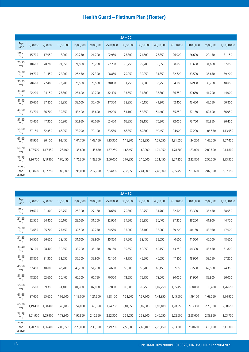|                        |          |          |           |           |           |           | $2A + 2C$ |           |           |           |           |           |             |
|------------------------|----------|----------|-----------|-----------|-----------|-----------|-----------|-----------|-----------|-----------|-----------|-----------|-------------|
| Age<br>Band            | 5,00,000 | 7,50,000 | 10,00,000 | 15,00,000 | 20,00,000 | 25,00,000 | 30,00,000 | 35,00,000 | 40,00,000 | 45,00,000 | 50,00,000 | 75,00,000 | 1,00,00,000 |
| $3m-20$<br>Yrs         | 15,700   | 17,050   | 18,200    | 20,250    | 21,700    | 22,950    | 23,800    | 24,600    | 25,350    | 26,000    | 26,600    | 29,150    | 31,150      |
| $21 - 25$<br>Yrs       | 18,600   | 20,200   | 21,550    | 24,000    | 25,750    | 27,200    | 28,250    | 29,200    | 30,050    | 30,850    | 31,600    | 34,600    | 37,000      |
| $26 - 30$<br>Yrs       | 19,700   | 21,450   | 22,900    | 25,450    | 27,300    | 28,850    | 29,950    | 30,950    | 31,850    | 32,700    | 33,500    | 36,650    | 39,200      |
| $31 - 35$<br>Yrs       | 20,600   | 22,400   | 23,900    | 26,550    | 28,500    | 30,050    | 31,250    | 32,300    | 33,250    | 34,100    | 34,900    | 38,200    | 40,800      |
| 36-40<br>Yrs           | 22,200   | 24,150   | 25,800    | 28,600    | 30,700    | 32,400    | 33,650    | 34,800    | 35,800    | 36,750    | 37,650    | 41,200    | 44,000      |
| $41 - 45$<br>Yrs       | 25,600   | 27,850   | 29,850    | 33,000    | 35,400    | 37,350    | 38,850    | 40,150    | 41,300    | 42,400    | 43,400    | 47,550    | 50,800      |
| 46-50<br>Yrs           | 33,700   | 36,700   | 39,350    | 43,400    | 46,600    | 49,200    | 51,100    | 52,850    | 54,400    | 55,850    | 57,150    | 62,600    | 66,950      |
| 51-55<br>Yrs           | 43,400   | 47,350   | 50,800    | 55,950    | 60,050    | 63,450    | 65,950    | 68,150    | 70,200    | 72,050    | 73,750    | 80,850    | 86,450      |
| 56-60<br>Yrs           | 57,150   | 62,350   | 66,950    | 73,700    | 79,100    | 83,550    | 86,850    | 89,800    | 92,450    | 94,900    | 97,200    | 1,06,550  | 1,13,950    |
| 61-65<br>Yrs           | 78,900   | 86,100   | 92,450    | 1,01,700  | 1,09,150  | 1,15,350  | 1,19,900  | 1,23,950  | 1,27,650  | 1,31,050  | 1,34,200  | 1,47,200  | 1,57,450    |
| 66-70<br>Yrs           | 1,07,500 | 1,17,350 | 1,26,100  | 1,38,600  | 1,48,850  | 1,57,250  | 1,63,450  | 1,69,000  | 1,74,050  | 1,78,700  | 1,83,000  | 2,00,800  | 2,14,800    |
| $71 - 75$<br>Yrs       | 1,36,750 | 1,49,300 | 1,60,450  | 1,76,300  | 1,89,300  | 2,00,050  | 2,07,950  | 2,15,000  | 2,21,450  | 2,27,350  | 2,32,800  | 2,55,500  | 2,73,350    |
| 76 Yrs<br>and<br>above | 1,53,600 | 1,67,750 | 1,80,300  | 1,98,050  | 2,12,700  | 2,24,800  | 2,33,650  | 2,41,600  | 2,48,800  | 2,55,450  | 2,61,600  | 2,87,100  | 3,07,150    |

|                        |          |          |           |           |           |           | $2A + 3C$ |           |           |           |           |           |             |
|------------------------|----------|----------|-----------|-----------|-----------|-----------|-----------|-----------|-----------|-----------|-----------|-----------|-------------|
| Age<br>Band            | 5,00,000 | 7,50,000 | 10,00,000 | 15,00,000 | 20,00,000 | 25,00,000 | 30,00,000 | 35,00,000 | 40,00,000 | 45,00,000 | 50,00,000 | 75,00,000 | 1,00,00,000 |
| $3m-20$<br>Yrs         | 19,600   | 21,300   | 22,750    | 25,300    | 27,150    | 28,650    | 29,800    | 30,750    | 31,700    | 32,500    | 33,300    | 36,450    | 38,950      |
| $21 - 25$<br>Yrs       | 22,500   | 24,450   | 26,100    | 29,050    | 31,200    | 32,900    | 34,200    | 35,350    | 36,400    | 37,350    | 38,250    | 41,900    | 44,750      |
| $26 - 30$<br>Yrs       | 23,650   | 25,700   | 27,450    | 30,500    | 32,750    | 34,550    | 35,900    | 37,100    | 38,200    | 39,200    | 40,150    | 43,950    | 47,000      |
| 31-35<br>Yrs           | 24,500   | 26,650   | 28,450    | 31,600    | 33,900    | 35,800    | 37,200    | 38,450    | 39,550    | 40,600    | 41,550    | 45,500    | 48,600      |
| 36-40<br>Yrs           | 26,100   | 28,400   | 30,350    | 33,700    | 36,150    | 38,150    | 39,650    | 40,950    | 42,150    | 43,250    | 44,300    | 48,450    | 51,800      |
| $41 - 45$<br>Yrs       | 28,850   | 31,350   | 33,550    | 37,200    | 39,900    | 42,100    | 43,750    | 45,200    | 46,550    | 47,800    | 48,900    | 53,550    | 57,250      |
| 46-50<br>Yrs           | 37,450   | 40,800   | 43,700    | 48,250    | 51,750    | 54,650    | 56,800    | 58,700    | 60,450    | 62,050    | 63,500    | 69,550    | 74,350      |
| 51-55<br>Yrs           | 48,250   | 52,600   | 56,400    | 62,200    | 66,750    | 70,500    | 73,250    | 75,750    | 78,000    | 80,050    | 81,950    | 89,800    | 96,050      |
| 56-60<br>Yrs           | 63,500   | 69,300   | 74,400    | 81,900    | 87,900    | 92,850    | 96,500    | 99,750    | 1,02,750  | 1,05,450  | 1,08,000  | 1,18,400  | 1,26,650    |
| 61-65<br>Yrs           | 87,650   | 95,650   | 1,02,700  | 1,13,000  | 1,21,300  | 1,28,150  | 1,33,200  | 1,37,700  | 1,41,850  | 1,45,600  | 1,49,100  | 1,63,550  | 1,74,950    |
| 66-70<br>Yrs           | 1,19,450 | 1,30,400 | 1,40,100  | 1,54,000  | 1,65,350  | 1,74,750  | 1,81,650  | 1,87,800  | 1,93,400  | 1,98,550  | 2,03,300  | 2,23,100  | 2,38,650    |
| $71 - 75$<br>Yrs       | 1,51,950 | 1,65,900 | 1,78,300  | 1,95,850  | 2,10,350  | 2,22,300  | 2,31,050  | 2,38,900  | 2,46,050  | 2,52,600  | 2,58,650  | 2,83,850  | 3,03,700    |
| 76 Yrs<br>and<br>above | 1,70,700 | 1,86,400 | 2,00,350  | 2,20,050  | 2,36,300  | 2,49,750  | 2,59,600  | 2,68,400  | 2,76,450  | 2,83,800  | 2,90,650  | 3,19,000  | 3,41,300    |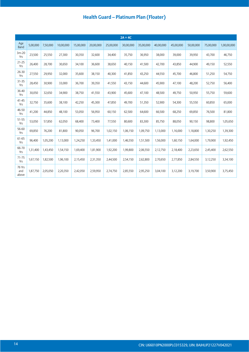|                        |          |          |           |           |           |           | $2A + 4C$ |           |           |           |           |           |             |
|------------------------|----------|----------|-----------|-----------|-----------|-----------|-----------|-----------|-----------|-----------|-----------|-----------|-------------|
| Age<br>Band            | 5,00,000 | 7,50,000 | 10,00,000 | 15,00,000 | 20,00,000 | 25,00,000 | 30,00,000 | 35,00,000 | 40,00,000 | 45,00,000 | 50,00,000 | 75,00,000 | 1,00,00,000 |
| $3m-20$<br>Yrs         | 23,500   | 25,550   | 27,300    | 30,350    | 32,600    | 34,400    | 35,750    | 36,950    | 38,000    | 39,000    | 39,950    | 43,700    | 46,750      |
| $21 - 25$<br>Yrs       | 26,400   | 28,700   | 30,650    | 34,100    | 36,600    | 38,650    | 40,150    | 41,500    | 42,700    | 43,850    | 44,900    | 49,150    | 52,550      |
| $26 - 30$<br>Yrs       | 27,550   | 29,950   | 32,000    | 35,600    | 38,150    | 40,300    | 41,850    | 43,250    | 44,550    | 45,700    | 46,800    | 51,250    | 54,750      |
| $31 - 35$<br>Yrs       | 28,450   | 30,900   | 33,000    | 36,700    | 39,350    | 41,550    | 43,150    | 44,600    | 45,900    | 47,100    | 48,200    | 52,750    | 56,400      |
| 36-40<br>Yrs           | 30,050   | 32,650   | 34,900    | 38,750    | 41,550    | 43,900    | 45,600    | 47,100    | 48,500    | 49,750    | 50,950    | 55,750    | 59,600      |
| $41 - 45$<br>Yrs       | 32,750   | 35,600   | 38,100    | 42,250    | 45,300    | 47,850    | 49,700    | 51,350    | 52,900    | 54,300    | 55,550    | 60,850    | 65,000      |
| 46-50<br>Yrs           | 41,200   | 44,850   | 48,100    | 53,050    | 56,950    | 60,150    | 62,500    | 64,600    | 66,500    | 68,250    | 69,850    | 76,500    | 81,800      |
| 51-55<br>Yrs           | 53,050   | 57,850   | 62,050    | 68,400    | 73,400    | 77,550    | 80,600    | 83,300    | 85,750    | 88,050    | 90,150    | 98,800    | 1,05,650    |
| 56-60<br>Yrs           | 69,850   | 76,200   | 81,800    | 90,050    | 96,700    | 1,02,150  | 1,06,150  | 1,09,750  | 1,13,000  | 1,16,000  | 1,18,800  | 1,30,250  | 1,39,300    |
| 61-65<br>Yrs           | 96,400   | 1,05,200 | 1,13,000  | 1,24,250  | 1,33,450  | 1,41,000  | 1,46,550  | 1,51,500  | 1,56,000  | 1,60,150  | 1,64,000  | 1,79,900  | 1,92,450    |
| 66-70<br>Yrs           | 1,31,400 | 1,43,450 | 1,54,150  | 1,69,400  | 1,81,900  | 1,92,200  | 1,99,800  | 2,06,550  | 2,12,750  | 2,18,400  | 2,23,650  | 2,45,400  | 2,62,550    |
| $71 - 75$<br>Yrs       | 1,67,150 | 1,82,500 | 1,96,100  | 2,15,450  | 2,31,350  | 2,44,500  | 2,54,150  | 2,62,800  | 2,70,650  | 2,77,850  | 2,84,550  | 3,12,250  | 3,34,100    |
| 76 Yrs<br>and<br>above | 1,87,750 | 2,05,050 | 2,20,350  | 2,42,050  | 2,59,950  | 2,74,750  | 2,85,550  | 2,95,250  | 3,04,100  | 3,12,200  | 3,19,700  | 3,50,900  | 3,75,450    |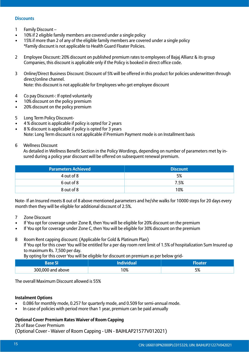#### **Discounts**

- 1 Family Discount –
- 10% if 2 eligible family members are covered under a single policy
- 15% if more than 2 of any of the eligible family members are covered under a single policy \*Family discount is not applicable to Health Guard Floater Policies.
- 2 Employee Discount: 20% discount on published premium rates to employees of Bajaj Allianz & its group Companies, this discount is applicable only if the Policy is booked in direct office code.
- 3 Online/Direct Business Discount: Discount of 5% will be offered in this product for policies underwritten through direct/online channel. Note: this discount is not applicable for Employees who get employee discount
- 4 Co pay Discount-: If opted voluntarily
- 10% discount on the policy premium
- 20% discount on the policy premium
- 5 Long Term Policy Discount-
- 4 % discount is applicable if policy is opted for 2 years
- 8 % discount is applicable if policy is opted for 3 years Note: Long Term discount is not applicable if Premium Payment mode is on Installment basis
- 6 Wellness Discount

As detailed in Wellness Benefit Section in the Policy Wordings, depending on number of parameters met by insured during a policy year discount will be offered on subsequent renewal premium.

| <b>Parameters Achieved</b> | <b>Discount</b> |
|----------------------------|-----------------|
| 4 out of 8                 | 5%              |
| 6 out of 8                 | 7.5%            |
| 8 out of 8                 | 10%             |

Note- If an Insured meets 8 out of 8 above mentioned parameters and he/she walks for 10000 steps for 20 days every month then they will be eligible for additional discount of 2.5%.

- 7 Zone Discount
- If You opt for coverage under Zone B, then You will be eligible for 20% discount on the premium
- If You opt for coverage under Zone C, then You will be eligible for 30% discount on the premium
- 8 Room Rent capping discount: (Applicable for Gold & Platinum Plan) If You opt for this cover You will be entitled for a per day room rent limit of 1.5% of hospitalization Sum Insured up to maximum Rs. 7,500 per day.

By opting for this cover You will be eligible for discount on premium as per below grid-

|                   | лa. |           |  |  |  |
|-------------------|-----|-----------|--|--|--|
| 300,000 and above | 10% | ᄗ<br>ە⁄ ر |  |  |  |

The overall Maximum Discount allowed is 55%

#### **Instalment Options**

- 0.086 for monthly mode, 0.257 for quarterly mode, and 0.509 for semi-annual mode.
- In case of policies with period more than 1 year, premium can be paid annually

#### **Optional Cover Premium Rates Waiver of Room Capping**

2% of Base Cover Premium

(Optional Cover - Waiver of Room Capping - UIN - BAJHLAP21577V012021)